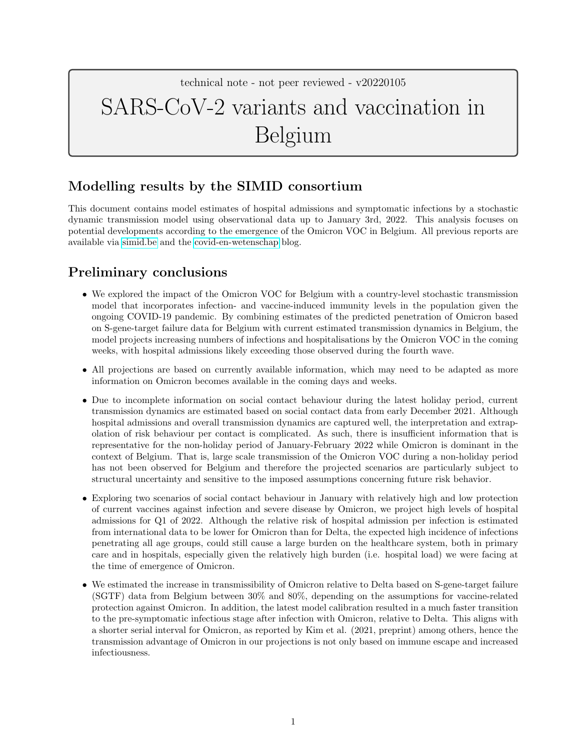technical note - not peer reviewed - v20220105

# <span id="page-0-0"></span>SARS-CoV-2 variants and vaccination in Belgium

## Modelling results by the SIMID consortium

This document contains model estimates of hospital admissions and symptomatic infections by a stochastic dynamic transmission model using observational data up to January 3rd, 2022. This analysis focuses on potential developments according to the emergence of the Omicron VOC in Belgium. All previous reports are available via [simid.be](https://www.simid.be) and the [covid-en-wetenschap](https://covid-en-wetenschap.github.io) blog.

## Preliminary conclusions

- We explored the impact of the Omicron VOC for Belgium with a country-level stochastic transmission model that incorporates infection- and vaccine-induced immunity levels in the population given the ongoing COVID-19 pandemic. By combining estimates of the predicted penetration of Omicron based on S-gene-target failure data for Belgium with current estimated transmission dynamics in Belgium, the model projects increasing numbers of infections and hospitalisations by the Omicron VOC in the coming weeks, with hospital admissions likely exceeding those observed during the fourth wave.
- All projections are based on currently available information, which may need to be adapted as more information on Omicron becomes available in the coming days and weeks.
- Due to incomplete information on social contact behaviour during the latest holiday period, current transmission dynamics are estimated based on social contact data from early December 2021. Although hospital admissions and overall transmission dynamics are captured well, the interpretation and extrapolation of risk behaviour per contact is complicated. As such, there is insufficient information that is representative for the non-holiday period of January-February 2022 while Omicron is dominant in the context of Belgium. That is, large scale transmission of the Omicron VOC during a non-holiday period has not been observed for Belgium and therefore the projected scenarios are particularly subject to structural uncertainty and sensitive to the imposed assumptions concerning future risk behavior.
- Exploring two scenarios of social contact behaviour in January with relatively high and low protection of current vaccines against infection and severe disease by Omicron, we project high levels of hospital admissions for Q1 of 2022. Although the relative risk of hospital admission per infection is estimated from international data to be lower for Omicron than for Delta, the expected high incidence of infections penetrating all age groups, could still cause a large burden on the healthcare system, both in primary care and in hospitals, especially given the relatively high burden (i.e. hospital load) we were facing at the time of emergence of Omicron.
- We estimated the increase in transmissibility of Omicron relative to Delta based on S-gene-target failure (SGTF) data from Belgium between 30% and 80%, depending on the assumptions for vaccine-related protection against Omicron. In addition, the latest model calibration resulted in a much faster transition to the pre-symptomatic infectious stage after infection with Omicron, relative to Delta. This aligns with a shorter serial interval for Omicron, as reported by Kim et al. (2021, preprint) among others, hence the transmission advantage of Omicron in our projections is not only based on immune escape and increased infectiousness.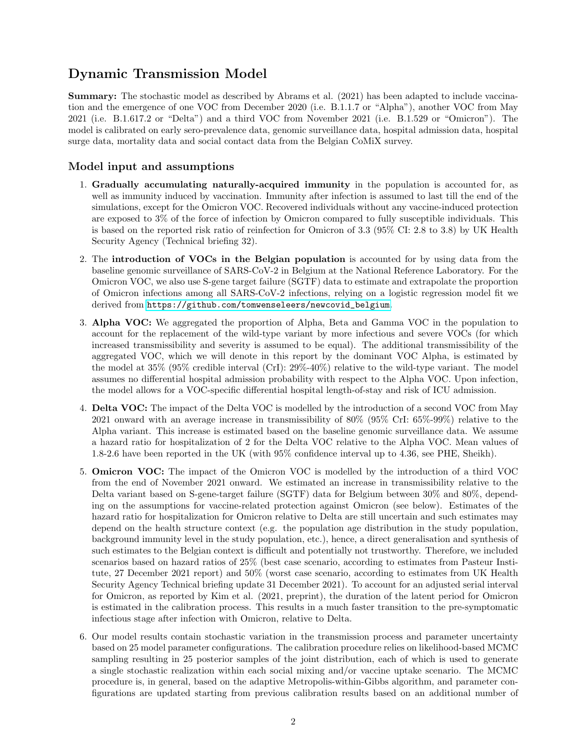## Dynamic Transmission Model

Summary: The stochastic model as described by Abrams et al. (2021) has been adapted to include vaccination and the emergence of one VOC from December 2020 (i.e. B.1.1.7 or "Alpha"), another VOC from May 2021 (i.e. B.1.617.2 or "Delta") and a third VOC from November 2021 (i.e. B.1.529 or "Omicron"). The model is calibrated on early sero-prevalence data, genomic surveillance data, hospital admission data, hospital surge data, mortality data and social contact data from the Belgian CoMiX survey.

### Model input and assumptions

- 1. Gradually accumulating naturally-acquired immunity in the population is accounted for, as well as immunity induced by vaccination. Immunity after infection is assumed to last till the end of the simulations, except for the Omicron VOC. Recovered individuals without any vaccine-induced protection are exposed to 3% of the force of infection by Omicron compared to fully susceptible individuals. This is based on the reported risk ratio of reinfection for Omicron of 3.3 (95% CI: 2.8 to 3.8) by UK Health Security Agency (Technical briefing 32).
- 2. The introduction of VOCs in the Belgian population is accounted for by using data from the baseline genomic surveillance of SARS-CoV-2 in Belgium at the National Reference Laboratory. For the Omicron VOC, we also use S-gene target failure (SGTF) data to estimate and extrapolate the proportion of Omicron infections among all SARS-CoV-2 infections, relying on a logistic regression model fit we derived from [https://github.com/tomwenseleers/newcovid\\_belgium](https://github.com/tomwenseleers/newcovid_belgium).
- 3. Alpha VOC: We aggregated the proportion of Alpha, Beta and Gamma VOC in the population to account for the replacement of the wild-type variant by more infectious and severe VOCs (for which increased transmissibility and severity is assumed to be equal). The additional transmissibility of the aggregated VOC, which we will denote in this report by the dominant VOC Alpha, is estimated by the model at 35% (95% credible interval (CrI): 29%-40%) relative to the wild-type variant. The model assumes no differential hospital admission probability with respect to the Alpha VOC. Upon infection, the model allows for a VOC-specific differential hospital length-of-stay and risk of ICU admission.
- 4. Delta VOC: The impact of the Delta VOC is modelled by the introduction of a second VOC from May 2021 onward with an average increase in transmissibility of 80% (95% CrI: 65%-99%) relative to the Alpha variant. This increase is estimated based on the baseline genomic surveillance data. We assume a hazard ratio for hospitalization of 2 for the Delta VOC relative to the Alpha VOC. Mean values of 1.8-2.6 have been reported in the UK (with 95% confidence interval up to 4.36, see PHE, Sheikh).
- 5. Omicron VOC: The impact of the Omicron VOC is modelled by the introduction of a third VOC from the end of November 2021 onward. We estimated an increase in transmissibility relative to the Delta variant based on S-gene-target failure (SGTF) data for Belgium between 30% and 80%, depending on the assumptions for vaccine-related protection against Omicron (see below). Estimates of the hazard ratio for hospitalization for Omicron relative to Delta are still uncertain and such estimates may depend on the health structure context (e.g. the population age distribution in the study population, background immunity level in the study population, etc.), hence, a direct generalisation and synthesis of such estimates to the Belgian context is difficult and potentially not trustworthy. Therefore, we included scenarios based on hazard ratios of 25% (best case scenario, according to estimates from Pasteur Institute, 27 December 2021 report) and 50% (worst case scenario, according to estimates from UK Health Security Agency Technical briefing update 31 December 2021). To account for an adjusted serial interval for Omicron, as reported by Kim et al. (2021, preprint), the duration of the latent period for Omicron is estimated in the calibration process. This results in a much faster transition to the pre-symptomatic infectious stage after infection with Omicron, relative to Delta.
- 6. Our model results contain stochastic variation in the transmission process and parameter uncertainty based on 25 model parameter configurations. The calibration procedure relies on likelihood-based MCMC sampling resulting in 25 posterior samples of the joint distribution, each of which is used to generate a single stochastic realization within each social mixing and/or vaccine uptake scenario. The MCMC procedure is, in general, based on the adaptive Metropolis-within-Gibbs algorithm, and parameter configurations are updated starting from previous calibration results based on an additional number of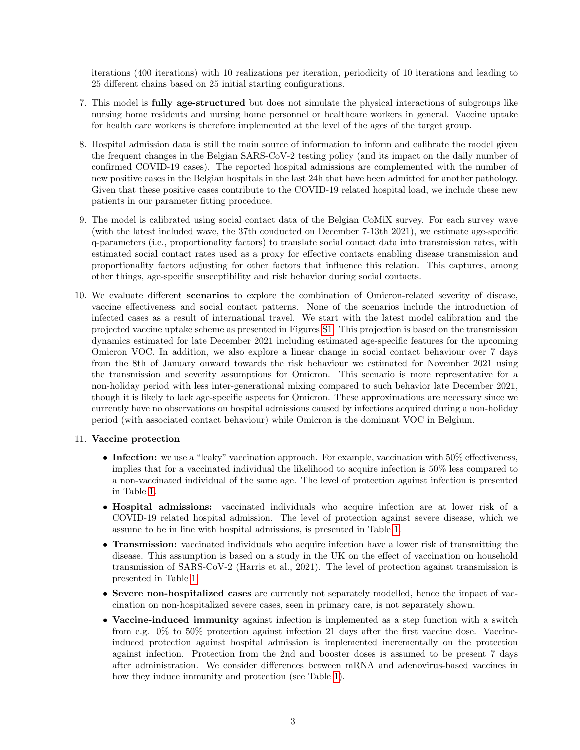iterations (400 iterations) with 10 realizations per iteration, periodicity of 10 iterations and leading to 25 different chains based on 25 initial starting configurations.

- 7. This model is fully age-structured but does not simulate the physical interactions of subgroups like nursing home residents and nursing home personnel or healthcare workers in general. Vaccine uptake for health care workers is therefore implemented at the level of the ages of the target group.
- 8. Hospital admission data is still the main source of information to inform and calibrate the model given the frequent changes in the Belgian SARS-CoV-2 testing policy (and its impact on the daily number of confirmed COVID-19 cases). The reported hospital admissions are complemented with the number of new positive cases in the Belgian hospitals in the last 24h that have been admitted for another pathology. Given that these positive cases contribute to the COVID-19 related hospital load, we include these new patients in our parameter fitting proceduce.
- 9. The model is calibrated using social contact data of the Belgian CoMiX survey. For each survey wave (with the latest included wave, the 37th conducted on December 7-13th 2021), we estimate age-specific q-parameters (i.e., proportionality factors) to translate social contact data into transmission rates, with estimated social contact rates used as a proxy for effective contacts enabling disease transmission and proportionality factors adjusting for other factors that influence this relation. This captures, among other things, age-specific susceptibility and risk behavior during social contacts.
- 10. We evaluate different scenarios to explore the combination of Omicron-related severity of disease, vaccine effectiveness and social contact patterns. None of the scenarios include the introduction of infected cases as a result of international travel. We start with the latest model calibration and the projected vaccine uptake scheme as presented in Figures [S1.](#page-10-0) This projection is based on the transmission dynamics estimated for late December 2021 including estimated age-specific features for the upcoming Omicron VOC. In addition, we also explore a linear change in social contact behaviour over 7 days from the 8th of January onward towards the risk behaviour we estimated for November 2021 using the transmission and severity assumptions for Omicron. This scenario is more representative for a non-holiday period with less inter-generational mixing compared to such behavior late December 2021, though it is likely to lack age-specific aspects for Omicron. These approximations are necessary since we currently have no observations on hospital admissions caused by infections acquired during a non-holiday period (with associated contact behaviour) while Omicron is the dominant VOC in Belgium.

#### 11. Vaccine protection

- Infection: we use a "leaky" vaccination approach. For example, vaccination with 50% effectiveness, implies that for a vaccinated individual the likelihood to acquire infection is 50% less compared to a non-vaccinated individual of the same age. The level of protection against infection is presented in Table [1.](#page-3-0)
- Hospital admissions: vaccinated individuals who acquire infection are at lower risk of a COVID-19 related hospital admission. The level of protection against severe disease, which we assume to be in line with hospital admissions, is presented in Table [1.](#page-3-0)
- Transmission: vaccinated individuals who acquire infection have a lower risk of transmitting the disease. This assumption is based on a study in the UK on the effect of vaccination on household transmission of SARS-CoV-2 (Harris et al., 2021). The level of protection against transmission is presented in Table [1.](#page-3-0)
- Severe non-hospitalized cases are currently not separately modelled, hence the impact of vaccination on non-hospitalized severe cases, seen in primary care, is not separately shown.
- Vaccine-induced immunity against infection is implemented as a step function with a switch from e.g. 0% to 50% protection against infection 21 days after the first vaccine dose. Vaccineinduced protection against hospital admission is implemented incrementally on the protection against infection. Protection from the 2nd and booster doses is assumed to be present 7 days after administration. We consider differences between mRNA and adenovirus-based vaccines in how they induce immunity and protection (see Table [1\)](#page-3-0).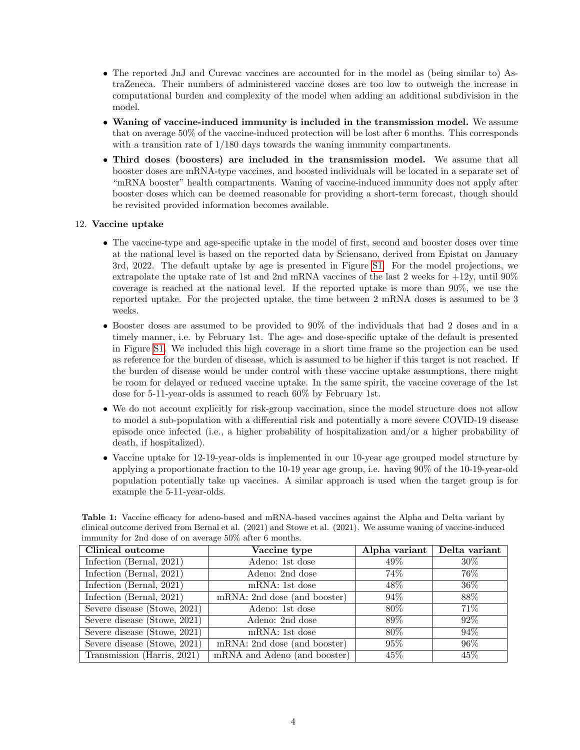- The reported JnJ and Curevac vaccines are accounted for in the model as (being similar to) AstraZeneca. Their numbers of administered vaccine doses are too low to outweigh the increase in computational burden and complexity of the model when adding an additional subdivision in the model.
- Waning of vaccine-induced immunity is included in the transmission model. We assume that on average 50% of the vaccine-induced protection will be lost after 6 months. This corresponds with a transition rate of 1/180 days towards the waning immunity compartments.
- Third doses (boosters) are included in the transmission model. We assume that all booster doses are mRNA-type vaccines, and boosted individuals will be located in a separate set of "mRNA booster" health compartments. Waning of vaccine-induced immunity does not apply after booster doses which can be deemed reasonable for providing a short-term forecast, though should be revisited provided information becomes available.

#### 12. Vaccine uptake

- The vaccine-type and age-specific uptake in the model of first, second and booster doses over time at the national level is based on the reported data by Sciensano, derived from Epistat on January 3rd, 2022. The default uptake by age is presented in Figure [S1.](#page-10-0) For the model projections, we extrapolate the uptake rate of 1st and 2nd mRNA vaccines of the last 2 weeks for +12y, until 90% coverage is reached at the national level. If the reported uptake is more than 90%, we use the reported uptake. For the projected uptake, the time between 2 mRNA doses is assumed to be 3 weeks.
- Booster doses are assumed to be provided to 90% of the individuals that had 2 doses and in a timely manner, i.e. by February 1st. The age- and dose-specific uptake of the default is presented in Figure [S1.](#page-10-0) We included this high coverage in a short time frame so the projection can be used as reference for the burden of disease, which is assumed to be higher if this target is not reached. If the burden of disease would be under control with these vaccine uptake assumptions, there might be room for delayed or reduced vaccine uptake. In the same spirit, the vaccine coverage of the 1st dose for 5-11-year-olds is assumed to reach 60% by February 1st.
- We do not account explicitly for risk-group vaccination, since the model structure does not allow to model a sub-population with a differential risk and potentially a more severe COVID-19 disease episode once infected (i.e., a higher probability of hospitalization and/or a higher probability of death, if hospitalized).
- Vaccine uptake for 12-19-year-olds is implemented in our 10-year age grouped model structure by applying a proportionate fraction to the 10-19 year age group, i.e. having 90% of the 10-19-year-old population potentially take up vaccines. A similar approach is used when the target group is for example the 5-11-year-olds.

| $\frac{1}{2}$ and $\frac{1}{2}$ and done of on average 90% and 0 months. |                              |                               |        |  |  |
|--------------------------------------------------------------------------|------------------------------|-------------------------------|--------|--|--|
| Clinical outcome                                                         | Vaccine type                 | Alpha variant   Delta variant |        |  |  |
| Infection (Bernal, 2021)                                                 | Adeno: 1st dose              | $49\%$                        | $30\%$ |  |  |
| Infection (Bernal, 2021)                                                 | Adeno: 2nd dose              | 74%                           | 76%    |  |  |
| Infection (Bernal, 2021)                                                 | mRNA: 1st dose               | 48\%                          | $36\%$ |  |  |
| Infection (Bernal, 2021)                                                 | mRNA: 2nd dose (and booster) | $94\%$                        | 88\%   |  |  |
| Severe disease (Stowe, 2021)                                             | Adeno: 1st dose              | $80\%$                        | $71\%$ |  |  |
| Severe disease (Stowe, 2021)                                             | Adeno: 2nd dose              | 89%                           | $92\%$ |  |  |
| Severe disease (Stowe, 2021)                                             | mRNA: 1st dose               | $80\%$                        | $94\%$ |  |  |
| Severe disease (Stowe, 2021)                                             | mRNA: 2nd dose (and booster) | $95\%$                        | $96\%$ |  |  |
| Transmission (Harris, 2021)                                              | mRNA and Adeno (and booster) | 45\%                          | $45\%$ |  |  |

<span id="page-3-0"></span>Table 1: Vaccine efficacy for adeno-based and mRNA-based vaccines against the Alpha and Delta variant by clinical outcome derived from Bernal et al. (2021) and Stowe et al. (2021). We assume waning of vaccine-induced immunity for 2nd dose of on average 50% after 6 months.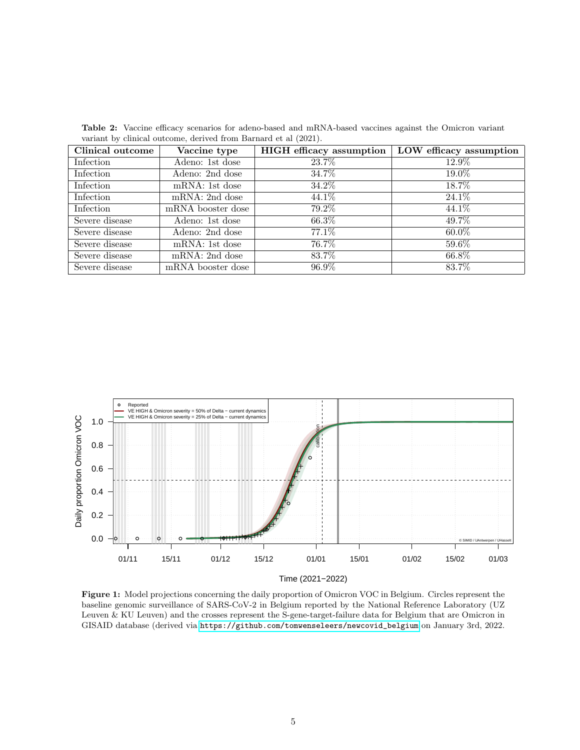| Clinical outcome | Vaccine type      | HIGH efficacy assumption | <b>LOW</b> efficacy assumption |
|------------------|-------------------|--------------------------|--------------------------------|
| Infection        | Adeno: 1st dose   | 23.7\%                   | 12.9%                          |
| Infection        | Adeno: 2nd dose   | 34.7%                    | 19.0%                          |
| Infection        | mRNA: 1st dose    | 34.2%                    | 18.7%                          |
| Infection        | mRNA: 2nd dose    | 44.1%                    | 24.1\%                         |
| Infection        | mRNA booster dose | 79.2%                    | 44.1\%                         |
| Severe disease   | Adeno: 1st dose   | 66.3%                    | 49.7%                          |
| Severe disease   | Adeno: 2nd dose   | $77.1\%$                 | $60.0\%$                       |
| Severe disease   | mRNA: 1st dose    | 76.7%                    | 59.6%                          |
| Severe disease   | mRNA: 2nd dose    | 83.7%                    | 66.8%                          |
| Severe disease   | mRNA booster dose | 96.9%                    | 83.7%                          |

Table 2: Vaccine efficacy scenarios for adeno-based and mRNA-based vaccines against the Omicron variant variant by clinical outcome, derived from Barnard et al (2021).



Figure 1: Model projections concerning the daily proportion of Omicron VOC in Belgium. Circles represent the baseline genomic surveillance of SARS-CoV-2 in Belgium reported by the National Reference Laboratory (UZ Leuven & KU Leuven) and the crosses represent the S-gene-target-failure data for Belgium that are Omicron in GISAID database (derived via [https://github.com/tomwenseleers/newcovid\\_belgium](https://github.com/tomwenseleers/newcovid_belgium) on January 3rd, 2022.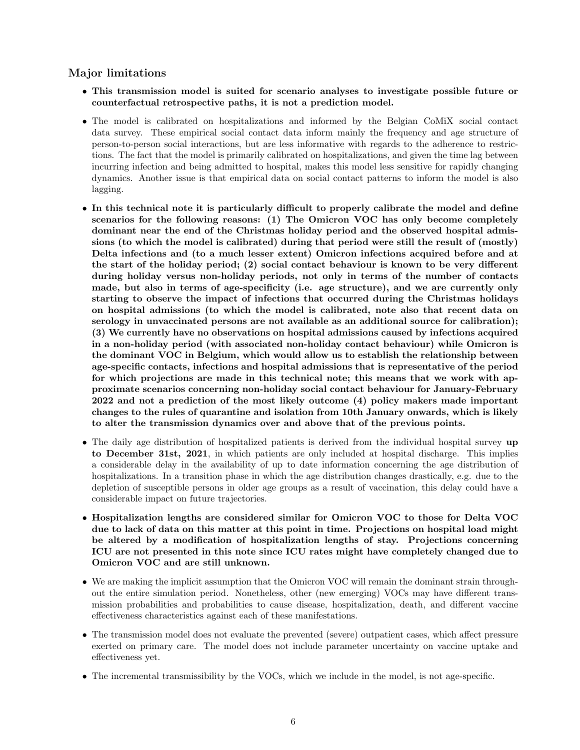#### Major limitations

- This transmission model is suited for scenario analyses to investigate possible future or counterfactual retrospective paths, it is not a prediction model.
- The model is calibrated on hospitalizations and informed by the Belgian CoMiX social contact data survey. These empirical social contact data inform mainly the frequency and age structure of person-to-person social interactions, but are less informative with regards to the adherence to restrictions. The fact that the model is primarily calibrated on hospitalizations, and given the time lag between incurring infection and being admitted to hospital, makes this model less sensitive for rapidly changing dynamics. Another issue is that empirical data on social contact patterns to inform the model is also lagging.
- In this technical note it is particularly difficult to properly calibrate the model and define scenarios for the following reasons: (1) The Omicron VOC has only become completely dominant near the end of the Christmas holiday period and the observed hospital admissions (to which the model is calibrated) during that period were still the result of (mostly) Delta infections and (to a much lesser extent) Omicron infections acquired before and at the start of the holiday period; (2) social contact behaviour is known to be very different during holiday versus non-holiday periods, not only in terms of the number of contacts made, but also in terms of age-specificity (i.e. age structure), and we are currently only starting to observe the impact of infections that occurred during the Christmas holidays on hospital admissions (to which the model is calibrated, note also that recent data on serology in unvaccinated persons are not available as an additional source for calibration); (3) We currently have no observations on hospital admissions caused by infections acquired in a non-holiday period (with associated non-holiday contact behaviour) while Omicron is the dominant VOC in Belgium, which would allow us to establish the relationship between age-specific contacts, infections and hospital admissions that is representative of the period for which projections are made in this technical note; this means that we work with approximate scenarios concerning non-holiday social contact behaviour for January-February 2022 and not a prediction of the most likely outcome (4) policy makers made important changes to the rules of quarantine and isolation from 10th January onwards, which is likely to alter the transmission dynamics over and above that of the previous points.
- The daily age distribution of hospitalized patients is derived from the individual hospital survey up to December 31st, 2021, in which patients are only included at hospital discharge. This implies a considerable delay in the availability of up to date information concerning the age distribution of hospitalizations. In a transition phase in which the age distribution changes drastically, e.g. due to the depletion of susceptible persons in older age groups as a result of vaccination, this delay could have a considerable impact on future trajectories.
- Hospitalization lengths are considered similar for Omicron VOC to those for Delta VOC due to lack of data on this matter at this point in time. Projections on hospital load might be altered by a modification of hospitalization lengths of stay. Projections concerning ICU are not presented in this note since ICU rates might have completely changed due to Omicron VOC and are still unknown.
- We are making the implicit assumption that the Omicron VOC will remain the dominant strain throughout the entire simulation period. Nonetheless, other (new emerging) VOCs may have different transmission probabilities and probabilities to cause disease, hospitalization, death, and different vaccine effectiveness characteristics against each of these manifestations.
- The transmission model does not evaluate the prevented (severe) outpatient cases, which affect pressure exerted on primary care. The model does not include parameter uncertainty on vaccine uptake and effectiveness yet.
- The incremental transmissibility by the VOCs, which we include in the model, is not age-specific.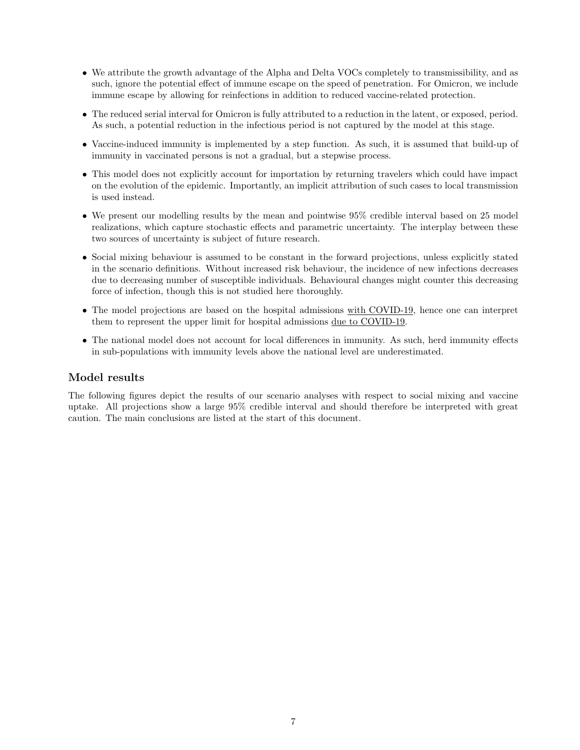- We attribute the growth advantage of the Alpha and Delta VOCs completely to transmissibility, and as such, ignore the potential effect of immune escape on the speed of penetration. For Omicron, we include immune escape by allowing for reinfections in addition to reduced vaccine-related protection.
- The reduced serial interval for Omicron is fully attributed to a reduction in the latent, or exposed, period. As such, a potential reduction in the infectious period is not captured by the model at this stage.
- Vaccine-induced immunity is implemented by a step function. As such, it is assumed that build-up of immunity in vaccinated persons is not a gradual, but a stepwise process.
- This model does not explicitly account for importation by returning travelers which could have impact on the evolution of the epidemic. Importantly, an implicit attribution of such cases to local transmission is used instead.
- We present our modelling results by the mean and pointwise 95% credible interval based on 25 model realizations, which capture stochastic effects and parametric uncertainty. The interplay between these two sources of uncertainty is subject of future research.
- Social mixing behaviour is assumed to be constant in the forward projections, unless explicitly stated in the scenario definitions. Without increased risk behaviour, the incidence of new infections decreases due to decreasing number of susceptible individuals. Behavioural changes might counter this decreasing force of infection, though this is not studied here thoroughly.
- The model projections are based on the hospital admissions with COVID-19, hence one can interpret them to represent the upper limit for hospital admissions due to COVID-19.
- The national model does not account for local differences in immunity. As such, herd immunity effects in sub-populations with immunity levels above the national level are underestimated.

#### Model results

The following figures depict the results of our scenario analyses with respect to social mixing and vaccine uptake. All projections show a large 95% credible interval and should therefore be interpreted with great caution. The main conclusions are listed at the start of this document.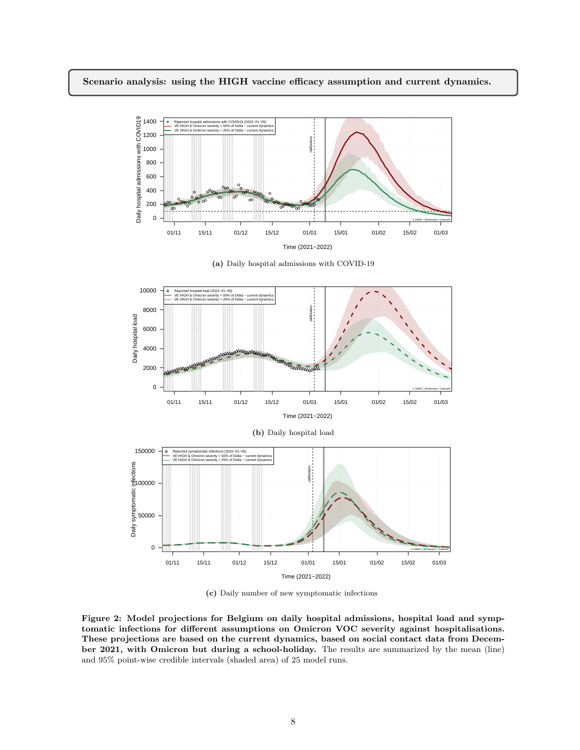#### Scenario analysis: using the HIGH vaccine efficacy assumption and current dynamics.



(a) Daily hospital admissions with COVID-19



(c) Daily number of new symptomatic infections

Figure 2: Model projections for Belgium on daily hospital admissions, hospital load and symptomatic infections for different assumptions on Omicron VOC severity against hospitalisations. These projections are based on the current dynamics, based on social contact data from December 2021, with Omicron but during a school-holiday. The results are summarized by the mean (line) and 95% point-wise credible intervals (shaded area) of 25 model runs.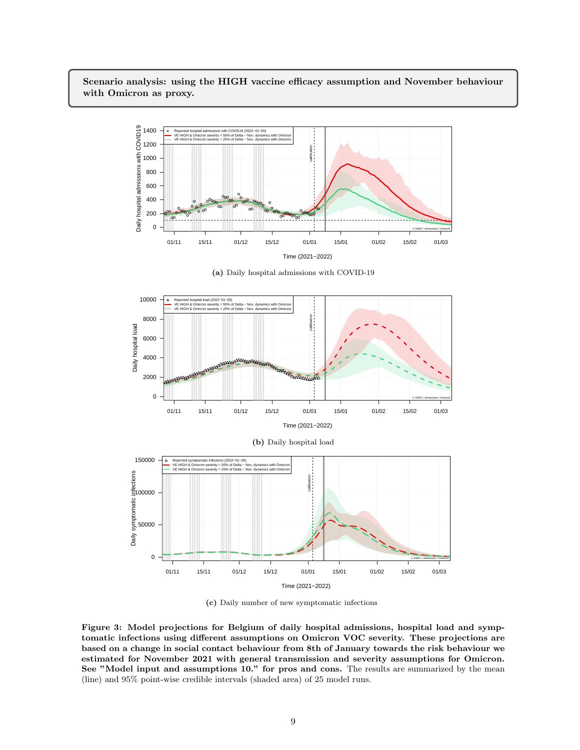#### Scenario analysis: using the HIGH vaccine efficacy assumption and November behaviour with Omicron as proxy.





(a) Daily hospital admissions with COVID-19

(c) Daily number of new symptomatic infections

Figure 3: Model projections for Belgium of daily hospital admissions, hospital load and symptomatic infections using different assumptions on Omicron VOC severity. These projections are based on a change in social contact behaviour from 8th of January towards the risk behaviour we estimated for November 2021 with general transmission and severity assumptions for Omicron. See "Model input and assumptions 10." for pros and cons. The results are summarized by the mean (line) and 95% point-wise credible intervals (shaded area) of 25 model runs.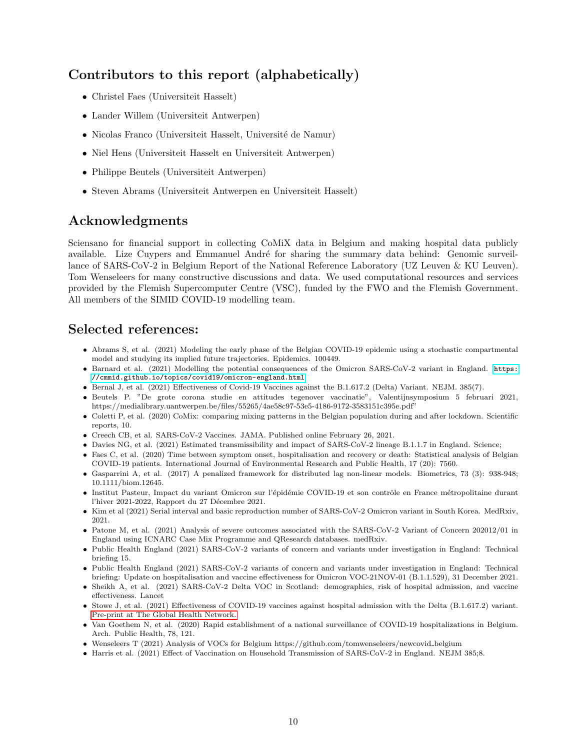## Contributors to this report (alphabetically)

- Christel Faes (Universiteit Hasselt)
- Lander Willem (Universiteit Antwerpen)
- Nicolas Franco (Universiteit Hasselt, Université de Namur)
- Niel Hens (Universiteit Hasselt en Universiteit Antwerpen)
- Philippe Beutels (Universiteit Antwerpen)
- Steven Abrams (Universiteit Antwerpen en Universiteit Hasselt)

## Acknowledgments

Sciensano for financial support in collecting CoMiX data in Belgium and making hospital data publicly available. Lize Cuypers and Emmanuel André for sharing the summary data behind: Genomic surveillance of SARS-CoV-2 in Belgium Report of the National Reference Laboratory (UZ Leuven & KU Leuven). Tom Wenseleers for many constructive discussions and data. We used computational resources and services provided by the Flemish Supercomputer Centre (VSC), funded by the FWO and the Flemish Government. All members of the SIMID COVID-19 modelling team.

## Selected references:

- Abrams S, et al. (2021) Modeling the early phase of the Belgian COVID-19 epidemic using a stochastic compartmental model and studying its implied future trajectories. Epidemics. 100449.
- Barnard et al. (2021) Modelling the potential consequences of the Omicron SARS-CoV-2 variant in England. [https:](https://cmmid.github.io/topics/covid19/omicron-england.html) [//cmmid.github.io/topics/covid19/omicron-england.html](https://cmmid.github.io/topics/covid19/omicron-england.html)
- Bernal J, et al. (2021) Effectiveness of Covid-19 Vaccines against the B.1.617.2 (Delta) Variant. NEJM. 385(7).
- Beutels P. "De grote corona studie en attitudes tegenover vaccinatie", Valentijnsymposium 5 februari 2021, https://medialibrary.uantwerpen.be/files/55265/4ae58c97-53e5-4186-9172-3583151c395e.pdf"
- Coletti P, et al. (2020) CoMix: comparing mixing patterns in the Belgian population during and after lockdown. Scientific reports, 10.
- Creech CB, et al. SARS-CoV-2 Vaccines. JAMA. Published online February 26, 2021.
- Davies NG, et al. (2021) Estimated transmissibility and impact of SARS-CoV-2 lineage B.1.1.7 in England. Science;
- Faes C, et al. (2020) Time between symptom onset, hospitalisation and recovery or death: Statistical analysis of Belgian COVID-19 patients. International Journal of Environmental Research and Public Health, 17 (20): 7560.
- Gasparrini A, et al. (2017) A penalized framework for distributed lag non-linear models. Biometrics, 73 (3): 938-948; 10.1111/biom.12645.
- Institut Pasteur, Impact du variant Omicron sur l'épidémie COVID-19 et son contrôle en France métropolitaine durant l'hiver 2021-2022, Rapport du 27 Décembre 2021.
- Kim et al (2021) Serial interval and basic reproduction number of SARS-CoV-2 Omicron variant in South Korea. MedRxiv, 2021.
- Patone M, et al. (2021) Analysis of severe outcomes associated with the SARS-CoV-2 Variant of Concern 202012/01 in England using ICNARC Case Mix Programme and QResearch databases. medRxiv.
- Public Health England (2021) SARS-CoV-2 variants of concern and variants under investigation in England: Technical briefing 15.
- Public Health England (2021) SARS-CoV-2 variants of concern and variants under investigation in England: Technical briefing: Update on hospitalisation and vaccine effectiveness for Omicron VOC-21NOV-01 (B.1.1.529), 31 December 2021.
- Sheikh A, et al. (2021) SARS-CoV-2 Delta VOC in Scotland: demographics, risk of hospital admission, and vaccine effectiveness. Lancet
- Stowe J, et al. (2021) Effectiveness of COVID-19 vaccines against hospital admission with the Delta (B.1.617.2) variant. [Pre-print at The Global Health Network.](#page-0-0)
- Van Goethem N, et al. (2020) Rapid establishment of a national surveillance of COVID-19 hospitalizations in Belgium. Arch. Public Health, 78, 121.
- Wenseleers T (2021) Analysis of VOCs for Belgium https://github.com/tomwenseleers/newcovid belgium
- Harris et al. (2021) Effect of Vaccination on Household Transmission of SARS-CoV-2 in England. NEJM 385;8.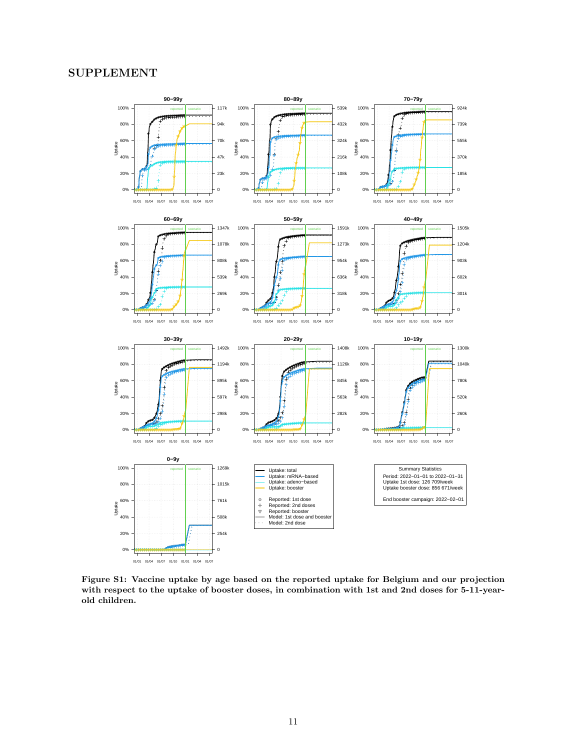#### <span id="page-10-0"></span>SUPPLEMENT



Figure S1: Vaccine uptake by age based on the reported uptake for Belgium and our projection with respect to the uptake of booster doses, in combination with 1st and 2nd doses for 5-11-yearold children.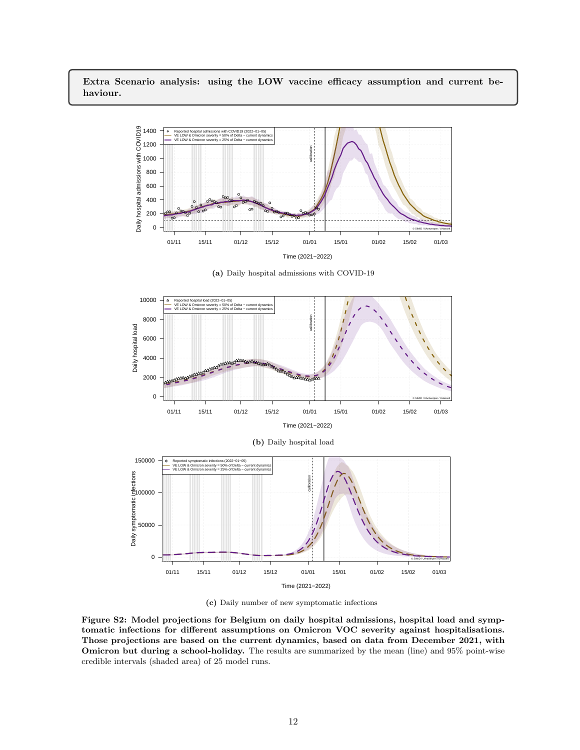Extra Scenario analysis: using the LOW vaccine efficacy assumption and current behaviour.







(c) Daily number of new symptomatic infections

Figure S2: Model projections for Belgium on daily hospital admissions, hospital load and symptomatic infections for different assumptions on Omicron VOC severity against hospitalisations. Those projections are based on the current dynamics, based on data from December 2021, with Omicron but during a school-holiday. The results are summarized by the mean (line) and 95% point-wise credible intervals (shaded area) of 25 model runs.